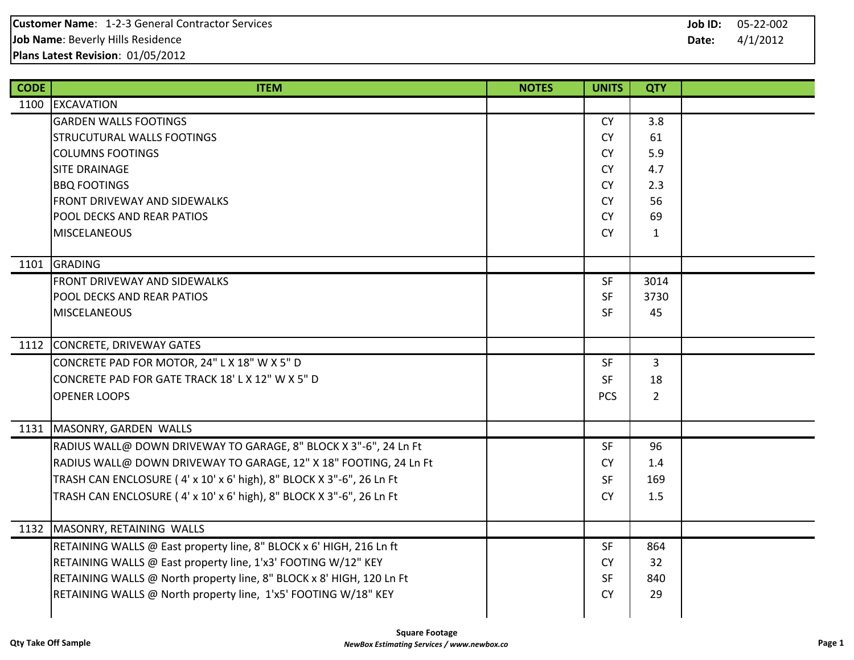| <b>CODE</b> | <b>ITEM</b>                                                          | <b>NOTES</b> | <b>UNITS</b> | <b>QTY</b>   |  |
|-------------|----------------------------------------------------------------------|--------------|--------------|--------------|--|
|             | 1100 EXCAVATION                                                      |              |              |              |  |
|             | <b>GARDEN WALLS FOOTINGS</b>                                         |              | <b>CY</b>    | 3.8          |  |
|             | <b>STRUCUTURAL WALLS FOOTINGS</b>                                    |              | <b>CY</b>    | 61           |  |
|             | <b>COLUMNS FOOTINGS</b>                                              |              | <b>CY</b>    | 5.9          |  |
|             | <b>SITE DRAINAGE</b>                                                 |              | <b>CY</b>    | 4.7          |  |
|             | <b>BBQ FOOTINGS</b>                                                  |              | <b>CY</b>    | 2.3          |  |
|             | <b>FRONT DRIVEWAY AND SIDEWALKS</b>                                  |              | <b>CY</b>    | 56           |  |
|             | <b>POOL DECKS AND REAR PATIOS</b>                                    |              | <b>CY</b>    | 69           |  |
|             | <b>MISCELANEOUS</b>                                                  |              | <b>CY</b>    | $\mathbf{1}$ |  |
|             |                                                                      |              |              |              |  |
|             | 1101 GRADING                                                         |              |              |              |  |
|             | FRONT DRIVEWAY AND SIDEWALKS                                         |              | <b>SF</b>    | 3014         |  |
|             | POOL DECKS AND REAR PATIOS                                           |              | SF           | 3730         |  |
|             | <b>MISCELANEOUS</b>                                                  |              | <b>SF</b>    | 45           |  |
|             |                                                                      |              |              |              |  |
|             | 1112 CONCRETE, DRIVEWAY GATES                                        |              |              |              |  |
|             | CONCRETE PAD FOR MOTOR, 24" L X 18" W X 5" D                         |              | <b>SF</b>    | 3            |  |
|             | CONCRETE PAD FOR GATE TRACK 18' L X 12" W X 5" D                     |              | <b>SF</b>    | 18           |  |
|             | <b>OPENER LOOPS</b>                                                  |              | <b>PCS</b>   | $2^{\circ}$  |  |
|             |                                                                      |              |              |              |  |
|             | 1131   MASONRY, GARDEN WALLS                                         |              |              |              |  |
|             | RADIUS WALL@ DOWN DRIVEWAY TO GARAGE, 8" BLOCK X 3"-6", 24 Ln Ft     |              | <b>SF</b>    | 96           |  |
|             | RADIUS WALL@ DOWN DRIVEWAY TO GARAGE, 12" X 18" FOOTING, 24 Ln Ft    |              | <b>CY</b>    | 1.4          |  |
|             | TRASH CAN ENCLOSURE (4' x 10' x 6' high), 8" BLOCK X 3"-6", 26 Ln Ft |              | <b>SF</b>    | 169          |  |
|             | TRASH CAN ENCLOSURE (4' x 10' x 6' high), 8" BLOCK X 3"-6", 26 Ln Ft |              | <b>CY</b>    | 1.5          |  |
|             |                                                                      |              |              |              |  |
|             | 1132 MASONRY, RETAINING WALLS                                        |              |              |              |  |
|             | RETAINING WALLS @ East property line, 8" BLOCK x 6' HIGH, 216 Ln ft  |              | <b>SF</b>    | 864          |  |
|             | RETAINING WALLS @ East property line, 1'x3' FOOTING W/12" KEY        |              | <b>CY</b>    | 32           |  |
|             | RETAINING WALLS @ North property line, 8" BLOCK x 8' HIGH, 120 Ln Ft |              | SF           | 840          |  |
|             | RETAINING WALLS @ North property line, 1'x5' FOOTING W/18" KEY       |              | <b>CY</b>    | 29           |  |
|             |                                                                      |              |              |              |  |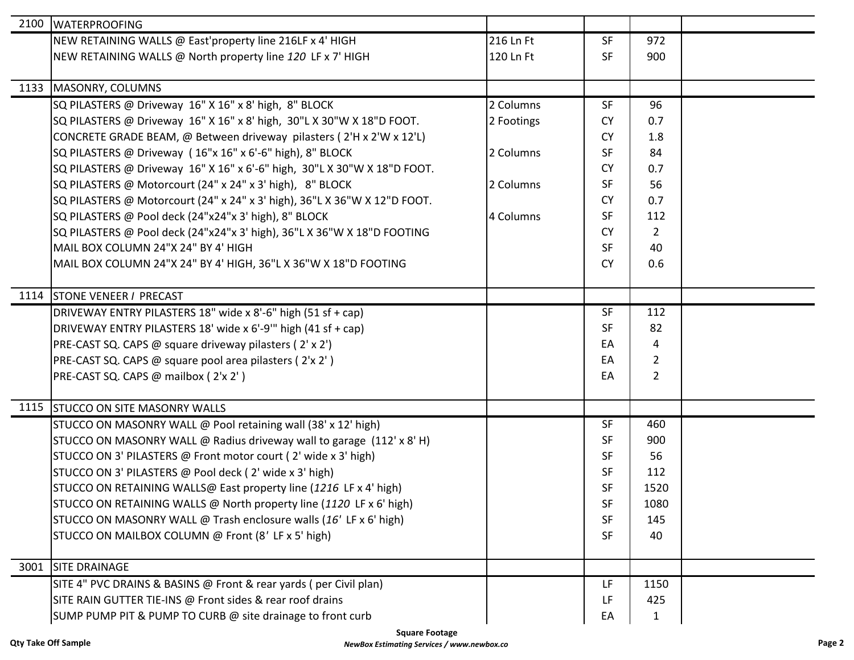| 2100 | <b>WATERPROOFING</b>                                                      |            |           |                |  |
|------|---------------------------------------------------------------------------|------------|-----------|----------------|--|
|      | NEW RETAINING WALLS @ East'property line 216LF x 4' HIGH                  | 216 Ln Ft  | <b>SF</b> | 972            |  |
|      | NEW RETAINING WALLS @ North property line 120 LF x 7' HIGH                | 120 Ln Ft  | <b>SF</b> | 900            |  |
|      |                                                                           |            |           |                |  |
| 1133 | MASONRY, COLUMNS                                                          |            |           |                |  |
|      | SQ PILASTERS @ Driveway 16" X 16" x 8' high, 8" BLOCK                     | 2 Columns  | SF        | 96             |  |
|      | SQ PILASTERS @ Driveway 16" X 16" x 8' high, 30"L X 30"W X 18"D FOOT.     | 2 Footings | <b>CY</b> | 0.7            |  |
|      | CONCRETE GRADE BEAM, @ Between driveway pilasters (2'H x 2'W x 12'L)      |            | <b>CY</b> | 1.8            |  |
|      | SQ PILASTERS @ Driveway (16"x 16" x 6'-6" high), 8" BLOCK                 | 2 Columns  | <b>SF</b> | 84             |  |
|      | SQ PILASTERS @ Driveway 16" X 16" x 6'-6" high, 30"L X 30"W X 18"D FOOT.  |            | <b>CY</b> | 0.7            |  |
|      | SQ PILASTERS @ Motorcourt (24" x 24" x 3' high), 8" BLOCK                 | 2 Columns  | <b>SF</b> | 56             |  |
|      | SQ PILASTERS @ Motorcourt (24" x 24" x 3' high), 36"L X 36"W X 12"D FOOT. |            | <b>CY</b> | 0.7            |  |
|      | SQ PILASTERS @ Pool deck (24"x24"x 3' high), 8" BLOCK                     | 4 Columns  | <b>SF</b> | 112            |  |
|      | SQ PILASTERS @ Pool deck (24"x24"x 3' high), 36"L X 36"W X 18"D FOOTING   |            | <b>CY</b> | $\overline{2}$ |  |
|      | MAIL BOX COLUMN 24"X 24" BY 4' HIGH                                       |            | <b>SF</b> | 40             |  |
|      | MAIL BOX COLUMN 24"X 24" BY 4' HIGH, 36"L X 36"W X 18"D FOOTING           |            | <b>CY</b> | 0.6            |  |
|      |                                                                           |            |           |                |  |
|      | 1114 STONE VENEER / PRECAST                                               |            |           |                |  |
|      | DRIVEWAY ENTRY PILASTERS 18" wide x 8'-6" high (51 sf + cap)              |            | <b>SF</b> | 112            |  |
|      | DRIVEWAY ENTRY PILASTERS 18' wide x 6'-9" high (41 sf + cap)              |            | <b>SF</b> | 82             |  |
|      | PRE-CAST SQ. CAPS @ square driveway pilasters (2' x 2')                   |            | EA        | 4              |  |
|      | PRE-CAST SQ. CAPS @ square pool area pilasters (2'x 2')                   |            | EA        | 2              |  |
|      | PRE-CAST SQ. CAPS @ mailbox (2'x 2')                                      |            | EA        | $\overline{2}$ |  |
|      |                                                                           |            |           |                |  |
|      | 1115 STUCCO ON SITE MASONRY WALLS                                         |            |           |                |  |
|      | STUCCO ON MASONRY WALL @ Pool retaining wall (38' x 12' high)             |            | <b>SF</b> | 460            |  |
|      | STUCCO ON MASONRY WALL @ Radius driveway wall to garage (112' x 8'H)      |            | <b>SF</b> | 900            |  |
|      | STUCCO ON 3' PILASTERS @ Front motor court (2' wide x 3' high)            |            | <b>SF</b> | 56             |  |
|      | STUCCO ON 3' PILASTERS @ Pool deck (2' wide x 3' high)                    |            | <b>SF</b> | 112            |  |
|      | STUCCO ON RETAINING WALLS@ East property line (1216 LF x 4' high)         |            | SF        | 1520           |  |
|      | STUCCO ON RETAINING WALLS @ North property line (1120 LF x 6' high)       |            | <b>SF</b> | 1080           |  |
|      | STUCCO ON MASONRY WALL @ Trash enclosure walls (16' LF x 6' high)         |            | <b>SF</b> | 145            |  |
|      | STUCCO ON MAILBOX COLUMN @ Front (8' LF x 5' high)                        |            | <b>SF</b> | 40             |  |
|      |                                                                           |            |           |                |  |
| 3001 | <b>SITE DRAINAGE</b>                                                      |            |           |                |  |
|      | SITE 4" PVC DRAINS & BASINS @ Front & rear yards (per Civil plan)         |            | LF.       | 1150           |  |
|      | SITE RAIN GUTTER TIE-INS @ Front sides & rear roof drains                 |            | LF        | 425            |  |
|      | SUMP PUMP PIT & PUMP TO CURB @ site drainage to front curb                |            | EA        | $\mathbf{1}$   |  |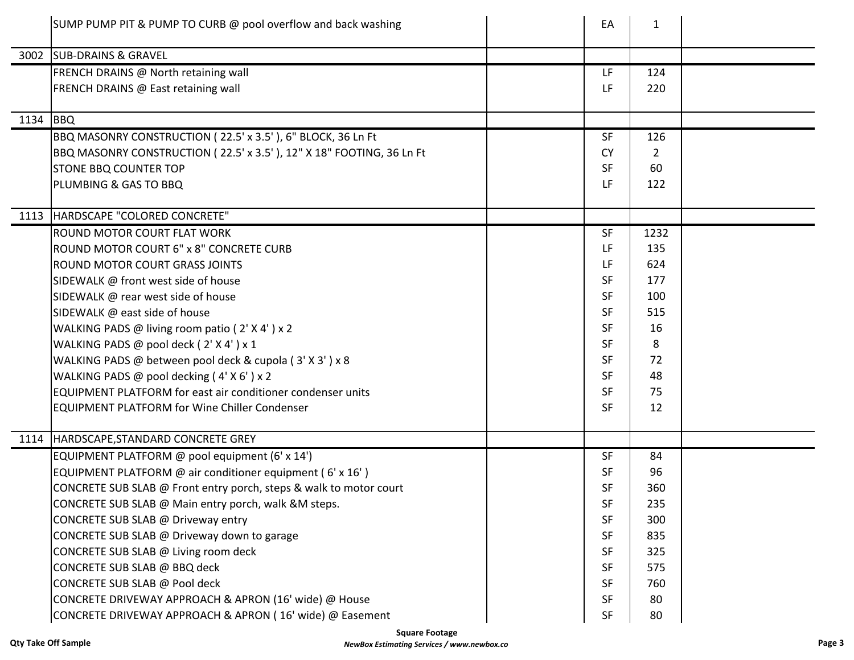|      | SUMP PUMP PIT & PUMP TO CURB @ pool overflow and back washing        | EA        | $\mathbf{1}$ |  |
|------|----------------------------------------------------------------------|-----------|--------------|--|
|      | 3002 SUB-DRAINS & GRAVEL                                             |           |              |  |
|      | FRENCH DRAINS @ North retaining wall                                 | LF        | 124          |  |
|      | FRENCH DRAINS @ East retaining wall                                  | LF        | 220          |  |
| 1134 | BBQ                                                                  |           |              |  |
|      | BBQ MASONRY CONSTRUCTION (22.5' x 3.5'), 6" BLOCK, 36 Ln Ft          | <b>SF</b> | 126          |  |
|      | BBQ MASONRY CONSTRUCTION (22.5' x 3.5'), 12" X 18" FOOTING, 36 Ln Ft | <b>CY</b> | 2            |  |
|      | <b>STONE BBQ COUNTER TOP</b>                                         | <b>SF</b> | 60           |  |
|      | PLUMBING & GAS TO BBQ                                                | LF        | 122          |  |
|      | 1113   HARDSCAPE "COLORED CONCRETE"                                  |           |              |  |
|      | <b>ROUND MOTOR COURT FLAT WORK</b>                                   | <b>SF</b> | 1232         |  |
|      | ROUND MOTOR COURT 6" x 8" CONCRETE CURB                              | <b>LF</b> | 135          |  |
|      | <b>ROUND MOTOR COURT GRASS JOINTS</b>                                | LF        | 624          |  |
|      | SIDEWALK @ front west side of house                                  | <b>SF</b> | 177          |  |
|      | SIDEWALK @ rear west side of house                                   | <b>SF</b> | 100          |  |
|      | SIDEWALK @ east side of house                                        | <b>SF</b> | 515          |  |
|      | WALKING PADS @ living room patio (2' X 4') x 2                       | <b>SF</b> | 16           |  |
|      | WALKING PADS @ pool deck (2' X 4' ) x 1                              | <b>SF</b> | 8            |  |
|      | WALKING PADS @ between pool deck & cupola (3' X 3') x 8              | <b>SF</b> | 72           |  |
|      | WALKING PADS @ pool decking (4'X6') x 2                              | <b>SF</b> | 48           |  |
|      | <b>EQUIPMENT PLATFORM for east air conditioner condenser units</b>   | <b>SF</b> | 75           |  |
|      | <b>EQUIPMENT PLATFORM for Wine Chiller Condenser</b>                 | <b>SF</b> | 12           |  |
|      | 1114   HARDSCAPE, STANDARD CONCRETE GREY                             |           |              |  |
|      | EQUIPMENT PLATFORM @ pool equipment (6' x 14')                       | <b>SF</b> | 84           |  |
|      | EQUIPMENT PLATFORM @ air conditioner equipment (6' x 16')            | <b>SF</b> | 96           |  |
|      | CONCRETE SUB SLAB @ Front entry porch, steps & walk to motor court   | SF        | 360          |  |
|      | CONCRETE SUB SLAB @ Main entry porch, walk &M steps.                 | <b>SF</b> | 235          |  |
|      | CONCRETE SUB SLAB @ Driveway entry                                   | <b>SF</b> | 300          |  |
|      | CONCRETE SUB SLAB @ Driveway down to garage                          | <b>SF</b> | 835          |  |
|      | CONCRETE SUB SLAB @ Living room deck                                 | <b>SF</b> | 325          |  |
|      | CONCRETE SUB SLAB @ BBQ deck                                         | <b>SF</b> | 575          |  |
|      | CONCRETE SUB SLAB @ Pool deck                                        | SF        | 760          |  |
|      | CONCRETE DRIVEWAY APPROACH & APRON (16' wide) @ House                | <b>SF</b> | 80           |  |
|      | CONCRETE DRIVEWAY APPROACH & APRON (16' wide) @ Easement             | <b>SF</b> | 80           |  |